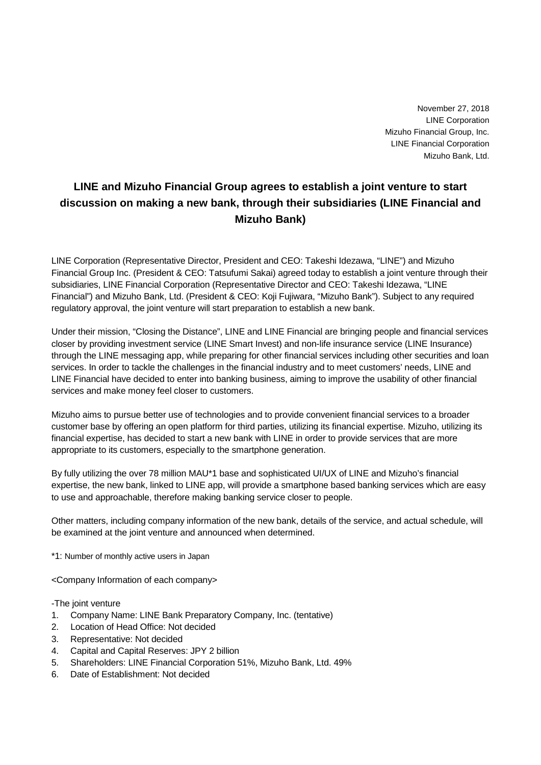November 27, 2018 LINE Corporation Mizuho Financial Group, Inc. LINE Financial Corporation Mizuho Bank, Ltd.

## **LINE and Mizuho Financial Group agrees to establish a joint venture to start discussion on making a new bank, through their subsidiaries (LINE Financial and Mizuho Bank)**

LINE Corporation (Representative Director, President and CEO: Takeshi Idezawa, "LINE") and Mizuho Financial Group Inc. (President & CEO: Tatsufumi Sakai) agreed today to establish a joint venture through their subsidiaries, LINE Financial Corporation (Representative Director and CEO: Takeshi Idezawa, "LINE Financial") and Mizuho Bank, Ltd. (President & CEO: Koji Fujiwara, "Mizuho Bank"). Subject to any required regulatory approval, the joint venture will start preparation to establish a new bank.

Under their mission, "Closing the Distance", LINE and LINE Financial are bringing people and financial services closer by providing investment service (LINE Smart Invest) and non-life insurance service (LINE Insurance) through the LINE messaging app, while preparing for other financial services including other securities and loan services. In order to tackle the challenges in the financial industry and to meet customers' needs, LINE and LINE Financial have decided to enter into banking business, aiming to improve the usability of other financial services and make money feel closer to customers.

Mizuho aims to pursue better use of technologies and to provide convenient financial services to a broader customer base by offering an open platform for third parties, utilizing its financial expertise. Mizuho, utilizing its financial expertise, has decided to start a new bank with LINE in order to provide services that are more appropriate to its customers, especially to the smartphone generation.

By fully utilizing the over 78 million MAU\*1 base and sophisticated UI/UX of LINE and Mizuho's financial expertise, the new bank, linked to LINE app, will provide a smartphone based banking services which are easy to use and approachable, therefore making banking service closer to people.

Other matters, including company information of the new bank, details of the service, and actual schedule, will be examined at the joint venture and announced when determined.

\*1: Number of monthly active users in Japan

<Company Information of each company>

-The joint venture

- 1. Company Name: LINE Bank Preparatory Company, Inc. (tentative)
- 2. Location of Head Office: Not decided
- 3. Representative: Not decided
- 4. Capital and Capital Reserves: JPY 2 billion
- 5. Shareholders: LINE Financial Corporation 51%, Mizuho Bank, Ltd. 49%
- 6. Date of Establishment: Not decided